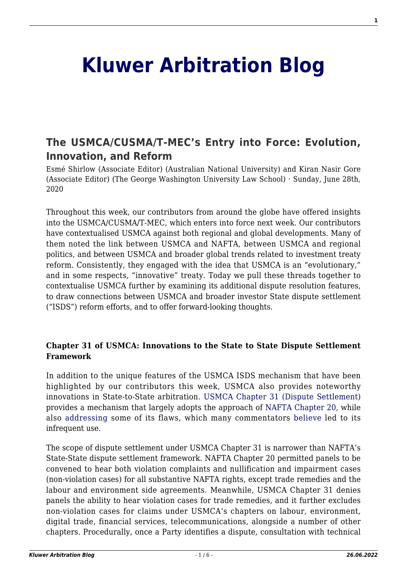# **[Kluwer Arbitration Blog](http://arbitrationblog.kluwerarbitration.com/)**

# **[The USMCA/CUSMA/T-MEC's Entry into Force: Evolution,](http://arbitrationblog.kluwerarbitration.com/2020/06/28/the-usmca-cusma-t-mecs-entry-into-force-evolution-innovation-and-reform/) [Innovation, and Reform](http://arbitrationblog.kluwerarbitration.com/2020/06/28/the-usmca-cusma-t-mecs-entry-into-force-evolution-innovation-and-reform/)**

Esmé Shirlow (Associate Editor) (Australian National University) and Kiran Nasir Gore (Associate Editor) (The George Washington University Law School) · Sunday, June 28th, 2020

Throughout this week, our contributors from around the globe have offered insights into the USMCA/CUSMA/T-MEC, which enters into force next week. Our contributors have contextualised USMCA against both regional and global developments. Many of them noted the link between USMCA and NAFTA, between USMCA and regional politics, and between USMCA and broader global trends related to investment treaty reform. Consistently, they engaged with the idea that USMCA is an "evolutionary," and in some respects, "innovative" treaty. Today we pull these threads together to contextualise USMCA further by examining its additional dispute resolution features, to draw connections between USMCA and broader investor State dispute settlement ("ISDS") reform efforts, and to offer forward-looking thoughts.

#### **Chapter 31 of USMCA: Innovations to the State to State Dispute Settlement Framework**

In addition to the unique features of the USMCA ISDS mechanism that have been highlighted by our contributors this week, USMCA also provides noteworthy innovations in State-to-State arbitration. [USMCA Chapter 31 \(Dispute Settlement\)](https://usmca.com/dispute-settlement-usmca-chapter-31/) provides a mechanism that largely adopts the approach of [NAFTA Chapter 20,](https://ustr.gov/trade-agreements/free-trade-agreements/north-american-free-trade-agreement-nafta/chapter-20-texts) while also [addressing](https://ielp.worldtradelaw.net/2019/09/usmca-a-serious-enforcement-mechanism-will-require-serious-changes-to-usmcas-dispute-settlement-prov.html) some of its flaws, which many commentators [believe](https://ielp.worldtradelaw.net/2019/09/usmca-a-serious-enforcement-mechanism-will-require-serious-changes-to-usmcas-dispute-settlement-prov.html) led to its infrequent use.

The scope of dispute settlement under USMCA Chapter 31 is narrower than NAFTA's State-State dispute settlement framework. NAFTA Chapter 20 permitted panels to be convened to hear both violation complaints and nullification and impairment cases (non-violation cases) for all substantive NAFTA rights, except trade remedies and the labour and environment side agreements. Meanwhile, USMCA Chapter 31 denies panels the ability to hear violation cases for trade remedies, and it further excludes non-violation cases for claims under USMCA's chapters on labour, environment, digital trade, financial services, telecommunications, alongside a number of other chapters. Procedurally, once a Party identifies a dispute, consultation with technical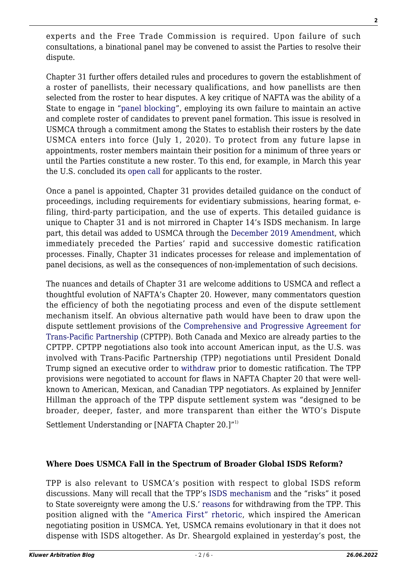experts and the Free Trade Commission is required. Upon failure of such consultations, a binational panel may be convened to assist the Parties to resolve their dispute.

Chapter 31 further offers detailed rules and procedures to govern the establishment of a roster of panellists, their necessary qualifications, and how panellists are then selected from the roster to hear disputes. A key critique of NAFTA was the ability of a State to engage in ["panel blocking](https://fas.org/sgp/crs/row/IF11418.pdf)", employing its own failure to maintain an active and complete roster of candidates to prevent panel formation. This issue is resolved in USMCA through a commitment among the States to establish their rosters by the date USMCA enters into force (July 1, 2020). To protect from any future lapse in appointments, roster members maintain their position for a minimum of three years or until the Parties constitute a new roster. To this end, for example, in March this year the U.S. concluded its [open call](https://www.federalregister.gov/documents/2020/03/19/2020-05726/invitation-for-applications-for-inclusion-on-the-dispute-settlement-rosters-for-the-united) for applicants to the roster.

Once a panel is appointed, Chapter 31 provides detailed guidance on the conduct of proceedings, including requirements for evidentiary submissions, hearing format, efiling, third-party participation, and the use of experts. This detailed guidance is unique to Chapter 31 and is not mirrored in Chapter 14's ISDS mechanism. In large part, this detail was added to USMCA through the [December 2019 Amendment](https://ustr.gov/sites/default/files/files/agreements/FTA/USMCA/Protocol-of-Amendments-to-the-United-States-Mexico-Canada-Agreement.pdf), which immediately preceded the Parties' rapid and successive domestic ratification processes. Finally, Chapter 31 indicates processes for release and implementation of panel decisions, as well as the consequences of non-implementation of such decisions.

The nuances and details of Chapter 31 are welcome additions to USMCA and reflect a thoughtful evolution of NAFTA's Chapter 20. However, many commentators question the efficiency of both the negotiating process and even of the dispute settlement mechanism itself. An obvious alternative path would have been to draw upon the dispute settlement provisions of the [Comprehensive and Progressive Agreement for](https://www.international.gc.ca/trade-commerce/trade-agreements-accords-commerciaux/agr-acc/tpp-ptp/text-texte/toc-tdm.aspx?lang=eng) [Trans-Pacific Partnership](https://www.international.gc.ca/trade-commerce/trade-agreements-accords-commerciaux/agr-acc/tpp-ptp/text-texte/toc-tdm.aspx?lang=eng) (CPTPP). Both Canada and Mexico are already parties to the CPTPP. CPTPP negotiations also took into account American input, as the U.S. was involved with Trans-Pacific Partnership (TPP) negotiations until President Donald Trump signed an executive order to [withdraw](https://www.huntonak.com/images/content/2/7/v3/27675/us-withdraws-from-tpp.pdf) prior to domestic ratification. The TPP provisions were negotiated to account for flaws in NAFTA Chapter 20 that were wellknown to American, Mexican, and Canadian TPP negotiators. As explained by Jennifer Hillman the approach of the TPP dispute settlement system was "designed to be broader, deeper, faster, and more transparent than either the WTO's Dispute Settlement Understanding or [NAFTA Chapter 20.1"<sup>1)</sup>

#### **Where Does USMCA Fall in the Spectrum of Broader Global ISDS Reform?**

TPP is also relevant to USMCA's position with respect to global ISDS reform discussions. Many will recall that the TPP's [ISDS mechanism](http://americastradepolicy.com/isds-a-sticky-issue-in-both-the-tpp-and-ttip/#.XumfWEVKg2x) and the "risks" it posed to State sovereignty were among the U.S.' [reasons](https://foreignpolicy.com/2017/06/22/trumps-five-mistaken-reasons-for-withdrawing-from-the-trans-pacific-partnership-china-trade-economics/) for withdrawing from the TPP. This position aligned with the ["America First" rhetoric,](https://theconversation.com/make-no-mistake-the-usmca-is-an-america-first-trade-deal-104818) which inspired the American negotiating position in USMCA. Yet, USMCA remains evolutionary in that it does not dispense with ISDS altogether. As Dr. Sheargold explained in yesterday's post, the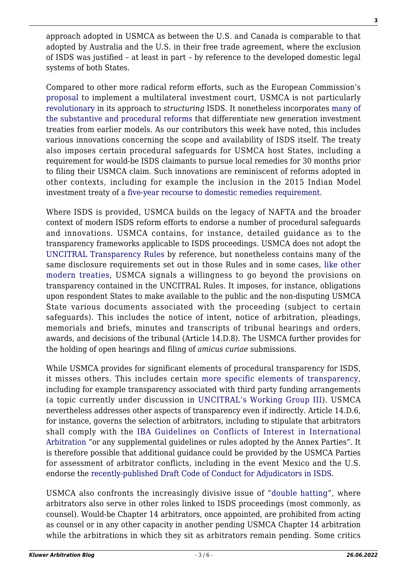approach adopted in USMCA as between the U.S. and Canada is comparable to that adopted by Australia and the U.S. in their free trade agreement, where the exclusion of ISDS was justified – at least in part – by reference to the developed domestic legal systems of both States.

Compared to other more radical reform efforts, such as the European Commission's [proposal](http://trade.ec.europa.eu/doclib/press/index.cfm?id=1608) to implement a multilateral investment court, USMCA is not particularly [revolutionary](https://www.ejiltalk.org/the-shifting-landscape-of-investor-state-arbitration-loyalists-reformists-revolutionaries-and-undecideds/) in its approach to *structuring* ISDS. It nonetheless incorporates [many of](https://papers.ssrn.com/sol3/papers.cfm?abstract_id=2834000) [the substantive and procedural reforms](https://papers.ssrn.com/sol3/papers.cfm?abstract_id=2834000) that differentiate new generation investment treaties from earlier models. As our contributors this week have noted, this includes various innovations concerning the scope and availability of ISDS itself. The treaty also imposes certain procedural safeguards for USMCA host States, including a requirement for would-be ISDS claimants to pursue local remedies for 30 months prior to filing their USMCA claim. Such innovations are reminiscent of reforms adopted in other contexts, including for example the inclusion in the 2015 Indian Model investment treaty of a [five-year recourse to domestic remedies requirement.](http://arbitrationblog.kluwerarbitration.com/2016/03/20/indias-revised-model-bit-every-bit-worth-it/?doing_wp_cron=1592522060.5515570640563964843750)

Where ISDS is provided, USMCA builds on the legacy of NAFTA and the broader context of modern ISDS reform efforts to endorse a number of procedural safeguards and innovations. USMCA contains, for instance, detailed guidance as to the transparency frameworks applicable to ISDS proceedings. USMCA does not adopt the [UNCITRAL Transparency Rules](https://www.uncitral.org/pdf/english/texts/arbitration/rules-on-transparency/Rules-on-Transparency-E.pdf) by reference, but nonetheless contains many of the same disclosure requirements set out in those Rules and in some cases, [like other](https://papers.ssrn.com/sol3/papers.cfm?abstract_id=3518923) [modern treaties](https://papers.ssrn.com/sol3/papers.cfm?abstract_id=3518923), USMCA signals a willingness to go beyond the provisions on transparency contained in the UNCITRAL Rules. It imposes, for instance, obligations upon respondent States to make available to the public and the non-disputing USMCA State various documents associated with the proceeding (subject to certain safeguards). This includes the notice of intent, notice of arbitration, pleadings, memorials and briefs, minutes and transcripts of tribunal hearings and orders, awards, and decisions of the tribunal (Article 14.D.8). The USMCA further provides for the holding of open hearings and filing of *amicus curiae* submissions.

While USMCA provides for significant elements of procedural transparency for ISDS, it misses others. This includes certain [more specific elements of transparency](https://papers.ssrn.com/sol3/Papers.cfm?abstract_id=3470946), including for example transparency associated with third party funding arrangements (a topic currently under discussion in [UNCITRAL's Working Group III](http://arbitrationblog.kluwerarbitration.com/2020/03/23/uncitral-working-group-iii-an-introduction-and-update/?doing_wp_cron=1592522602.2882509231567382812500)). USMCA nevertheless addresses other aspects of transparency even if indirectly. Article 14.D.6, for instance, governs the selection of arbitrators, including to stipulate that arbitrators shall comply with the [IBA Guidelines on Conflicts of Interest in International](https://www.ibanet.org/ENews_Archive/IBA_July_2008_ENews_ArbitrationMultipleLang.aspx) [Arbitration](https://www.ibanet.org/ENews_Archive/IBA_July_2008_ENews_ArbitrationMultipleLang.aspx) "or any supplemental guidelines or rules adopted by the Annex Parties". It is therefore possible that additional guidance could be provided by the USMCA Parties for assessment of arbitrator conflicts, including in the event Mexico and the U.S. endorse the [recently-published](http://arbitrationblog.kluwerarbitration.com/2020/05/02/icsid-and-uncitral-publish-the-anticipated-draft-of-the-code-of-conduct-for-adjudicators-in-investor-state-dispute-settlement/?doing_wp_cron=1592469310.6071689128875732421875) [Draft Code of Conduct for Adjudicators in ISDS](https://icsid.worldbank.org/en/Documents/Draft_Code_Conduct_Adjudicators_ISDS.pdf).

USMCA also confronts the increasingly divisive issue of "[double hatting"](http://arbitrationblog.kluwerarbitration.com/2018/03/16/the-death-of-isds/?doing_wp_cron=1592469634.5349950790405273437500), where arbitrators also serve in other roles linked to ISDS proceedings (most commonly, as counsel). Would-be Chapter 14 arbitrators, once appointed, are prohibited from acting as counsel or in any other capacity in another pending USMCA Chapter 14 arbitration while the arbitrations in which they sit as arbitrators remain pending. Some critics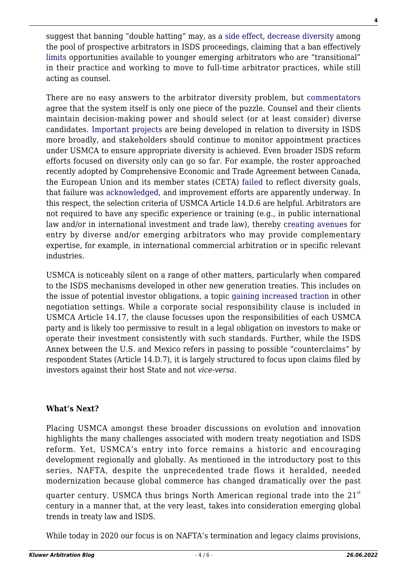suggest that banning "double hatting" may, as a [side effect](http://arbitrationblog.kluwerarbitration.com/2019/10/21/uncitral-and-investment-arbitration-reform-a-little-more-action/?doing_wp_cron=1592507210.3651061058044433593750), [decrease diversity](http://arbitrationblog.kluwerarbitration.com/2020/06/20/icsid-and-uncitral-draft-code-of-conduct-potential-ban-on-multiple-roles-could-negatively-impact-gender-and-regional-diversity-as-well-as-generational-renewal/?doing_wp_cron=1592791636.2855770587921142578125) among the pool of prospective arbitrators in ISDS proceedings, claiming that a ban effectively [limits](https://www.ejiltalk.org/a-possible-approach-to-transitional-double-hatting-in-investor-state-arbitration/) opportunities available to younger emerging arbitrators who are "transitional" in their practice and working to move to full-time arbitrator practices, while still acting as counsel.

There are no easy answers to the arbitrator diversity problem, but [commentators](https://www.jus.uio.no/pluricourts/english/projects/leginvest/academic-forum/papers/2020/5-diversity.pdf) agree that the system itself is only one piece of the puzzle. Counsel and their clients maintain decision-making power and should select (or at least consider) diverse candidates. [Important projects](https://www.simpsonadr.net/pro-bono.php) are being developed in relation to diversity in ISDS more broadly, and stakeholders should continue to monitor appointment practices under USMCA to ensure appropriate diversity is achieved. Even broader ISDS reform efforts focused on diversity only can go so far. For example, the roster approached recently adopted by Comprehensive Economic and Trade Agreement between Canada, the European Union and its member states (CETA) [failed](https://www.arbitralwomen.org/ceta-list-of-arbitrators-where-are-the-women/) to reflect diversity goals, that failure was [acknowledged,](https://www.simpsonadr.net/files/2020.04.24CETAResponse.pdf) and improvement efforts are apparently underway. In this respect, the selection criteria of USMCA Article 14.D.6 are helpful. Arbitrators are not required to have any specific experience or training (e.g., in public international law and/or in international investment and trade law), thereby [creating avenues](https://www.jus.uio.no/pluricourts/english/projects/leginvest/academic-forum/papers/2020/5-diversity.pdf) for entry by diverse and/or emerging arbitrators who may provide complementary expertise, for example, in international commercial arbitration or in specific relevant industries.

USMCA is noticeably silent on a range of other matters, particularly when compared to the ISDS mechanisms developed in other new generation treaties. This includes on the issue of potential investor obligations, a topic [gaining increased traction](https://trade.ec.europa.eu/doclib/docs/2015/january/tradoc_153044.pdf) in other negotiation settings. While a corporate social responsibility clause is included in USMCA Article 14.17, the clause focusses upon the responsibilities of each USMCA party and is likely too permissive to result in a legal obligation on investors to make or operate their investment consistently with such standards. Further, while the ISDS Annex between the U.S. and Mexico refers in passing to possible "counterclaims" by respondent States (Article 14.D.7), it is largely structured to focus upon claims filed by investors against their host State and not *vice-versa*.

## **What's Next?**

Placing USMCA amongst these broader discussions on evolution and innovation highlights the many challenges associated with modern treaty negotiation and ISDS reform. Yet, USMCA's entry into force remains a historic and encouraging development regionally and globally. As mentioned in the introductory post to this series, NAFTA, despite the unprecedented trade flows it heralded, needed modernization because global commerce has changed dramatically over the past

quarter century. USMCA thus brings North American regional trade into the 21<sup>st</sup> century in a manner that, at the very least, takes into consideration emerging global trends in treaty law and ISDS.

While today in 2020 our focus is on NAFTA's termination and legacy claims provisions,

**4**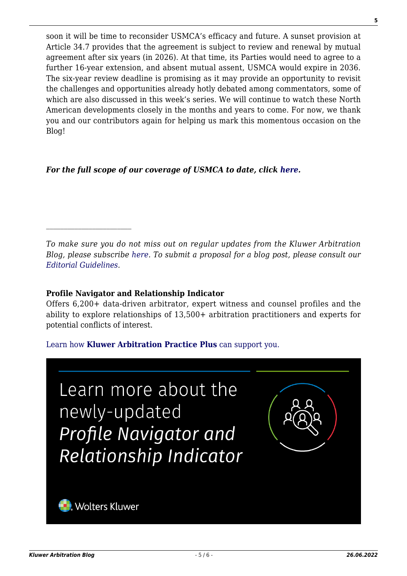soon it will be time to reconsider USMCA's efficacy and future. A sunset provision at Article 34.7 provides that the agreement is subject to review and renewal by mutual agreement after six years (in 2026). At that time, its Parties would need to agree to a further 16-year extension, and absent mutual assent, USMCA would expire in 2036. The six-year review deadline is promising as it may provide an opportunity to revisit the challenges and opportunities already hotly debated among commentators, some of which are also discussed in this week's series. We will continue to watch these North American developments closely in the months and years to come. For now, we thank you and our contributors again for helping us mark this momentous occasion on the Blog!

### *For the full scope of our coverage of USMCA to date, click [here](http://arbitrationblog.kluwerarbitration.com/category/usmca/?doing_wp_cron=1591675178.5335190296173095703125).*

*To make sure you do not miss out on regular updates from the Kluwer Arbitration Blog, please subscribe [here](http://arbitrationblog.kluwerarbitration.com/newsletter/). To submit a proposal for a blog post, please consult our [Editorial Guidelines.](http://arbitrationblog.kluwerarbitration.com/editorial-guidelines/)*

#### **Profile Navigator and Relationship Indicator**

 $\mathcal{L}_\text{max}$ 

Offers 6,200+ data-driven arbitrator, expert witness and counsel profiles and the ability to explore relationships of 13,500+ arbitration practitioners and experts for potential conflicts of interest.

#### [Learn how](https://www.wolterskluwer.com/en/solutions/kluwerarbitration/practiceplus?utm_source=arbitrationblog&utm_medium=articleCTA&utm_campaign=article-banner) **[Kluwer Arbitration Practice Plus](https://www.wolterskluwer.com/en/solutions/kluwerarbitration/practiceplus?utm_source=arbitrationblog&utm_medium=articleCTA&utm_campaign=article-banner)** [can support you.](https://www.wolterskluwer.com/en/solutions/kluwerarbitration/practiceplus?utm_source=arbitrationblog&utm_medium=articleCTA&utm_campaign=article-banner)